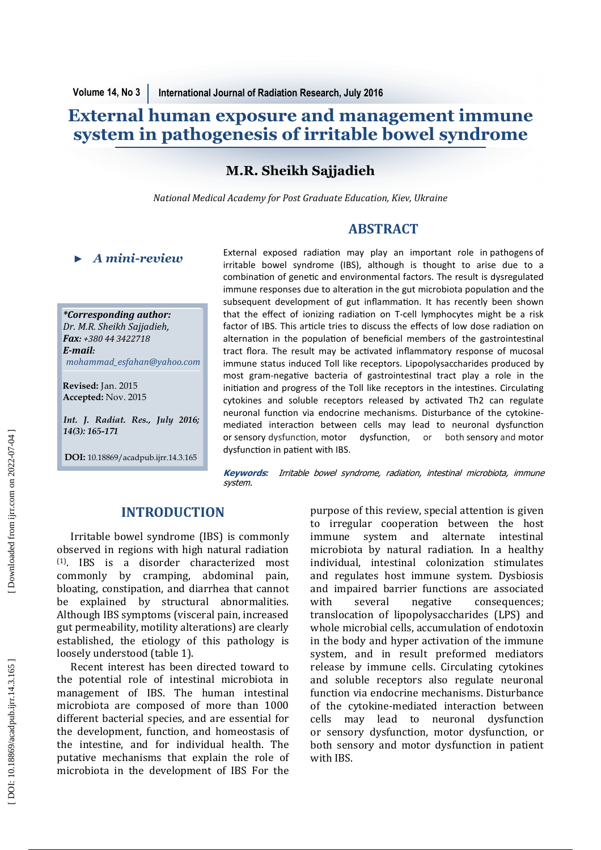# **External human exposure and management immune system in pathogenesis of irritable bowel syndrome**

# **M.R. Sheikh Sajjadieh**

*National Medical Academy for Post Graduate Education, Kiev, Ukraine* 

# **ABSTRACT**

*\*Corresponding author: Dr. M.R. Sheikh Sajjadieh , Fax: +380 44 3422718*  $E$ -*mail: mohammad\_esfahan@yahoo.com ★ A mini-review*<br> *\*Corresponding author:*<br> *Dr. M.R. Sheikh Sajjadieh,*<br> *Fax: +380 44 3422718*<br> *E-mail:*<br> *mohammad\_esfahan@yahoo.c*<br>
Revised: Jan. 2015<br>
Accepted: Nov. 2015<br> *Int. J. Radiat. Res., July 20*<br>
14(3): 16

**Revised:** Jan. 2015 **Accepted:** Nov. 2015

*Int. J. Radiat. Res., July 2016;* 

**DOI:** 10.18869/acadpub.ijrr.14.3.165

External exposed radiation may play an important role in pathogens of irritable bowel syndrome (IBS), although is thought to arise due to a combination of genetic and environmental factors. The result is dysregulated immune responses due to alteration in the gut microbiota population and the subsequent development of gut inflammation. It has recently been shown that the effect of ionizing radiation on T-cell lymphocytes might be a risk factor of IBS. This article tries to discuss the effects of low dose radiation on alternation in the population of beneficial members of the gastrointestinal tract flora. The result may be activated inflammatory response of mucosal immune status induced Toll like receptors. Lipopolysaccharides produced by most gram-negative bacteria of gastrointestinal tract play a role in the initiation and progress of the Toll like receptors in the intestines. Circulating cytokines and soluble receptors released by activated Th2 can regulate neuronal function via endocrine mechanisms. Disturbance of the cytokinemediated interaction between cells may lead to neuronal dysfunction or sensory dysfunction, motor dysfunction, or both sensory and motor dysfunction in patient with IBS.

**Keywords***:* Irritable bowel syndrome, radiation, intestinal microbiota, immune system.

# **INTRODUCTION**

Irritable bowel syndrome (IBS) is commonly observed in regions with high natural radiation (1). IBS is a disorder characterized most commonly by cramping, abdominal pain, bloating, constipation, and diarrhea that cannot be explained by structural abnormalities. Although IBS symptoms (visceral pain, increased gut permeability, motility alterations) are clearly established, the etiology of this pathology is loosely understood (table 1).

Recent interest has been directed toward to the potential role of intestinal microbiota in management of IBS. The human intestinal microbiota are composed of more than 1000 different bacterial species, and are essential for the development, function, and homeostasis of the intestine, and for individual health. The putative mechanisms that explain the role of microbiota in the development of IBS For the

purpose of this review, special attention is given to irregular cooperation between the host immune system and alternate intestinal microbiota by natural radiation. In a healthy individual, intestinal colonization stimulates and regulates host immune system. Dysbiosis and impaired barrier functions are associated with several negative consequences; translocation of lipopolysaccharides (LPS) and whole microbial cells, accumulation of endotoxin in the body and hyper activation of the immune system, and in result preformed mediators release by immune cells. Circulating cytokines and soluble receptors also regulate neuronal function via endocrine mechanisms. Disturbance of the cytokine-mediated interaction between cells may lead to neuronal dysfunction or sensory dysfunction, motor dysfunction, or both sensory and motor dysfunction in patient with IBS.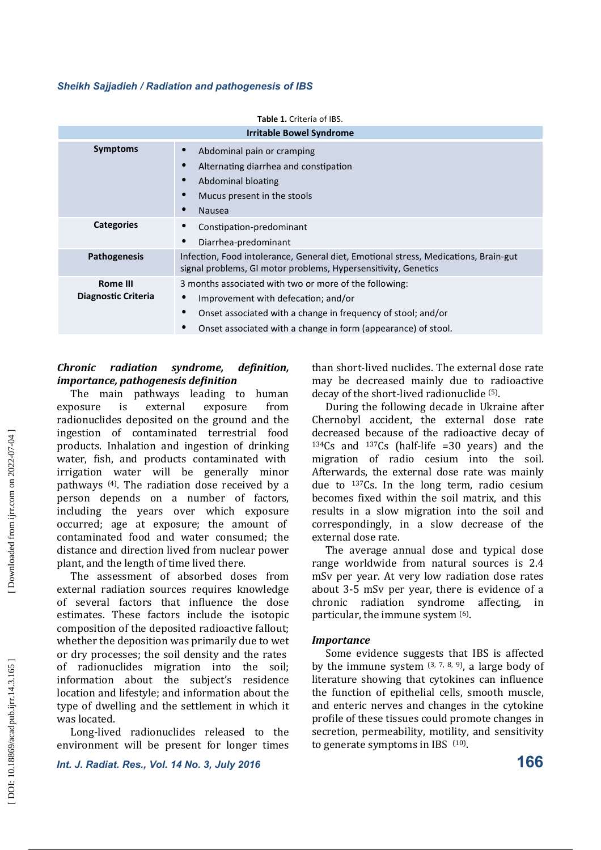| <b>Irritable Bowel Syndrome</b>        |                                                                                                                                                                                                                                                               |  |  |
|----------------------------------------|---------------------------------------------------------------------------------------------------------------------------------------------------------------------------------------------------------------------------------------------------------------|--|--|
| <b>Symptoms</b>                        | Abdominal pain or cramping<br>Alternating diarrhea and constipation<br>Abdominal bloating<br>$\bullet$<br>Mucus present in the stools<br><b>Nausea</b><br>$\bullet$                                                                                           |  |  |
| <b>Categories</b>                      | Constipation-predominant<br>Diarrhea-predominant                                                                                                                                                                                                              |  |  |
| Pathogenesis                           | Infection, Food intolerance, General diet, Emotional stress, Medications, Brain-gut<br>signal problems, GI motor problems, Hypersensitivity, Genetics                                                                                                         |  |  |
| <b>Rome III</b><br>Diagnostic Criteria | 3 months associated with two or more of the following:<br>Improvement with defecation; and/or<br>$\bullet$<br>Onset associated with a change in frequency of stool; and/or<br>$\bullet$<br>Onset associated with a change in form (appearance) of stool.<br>٠ |  |  |

### *Chronic* radiation syndrome, definition, *importance, pathogenesis definition*

The main pathways leading to human exposure is external exposure from radionuclides deposited on the ground and the ingestion of contaminated terrestrial food products. Inhalation and ingestion of drinking water, fish, and products contaminated with irrigation water will be generally minor pathways  $(4)$ . The radiation dose received by a person depends on a number of factors, including the years over which exposure occurred; age at exposure; the amount of contaminated food and water consumed; the distance and direction lived from nuclear power plant, and the length of time lived there.

The assessment of absorbed doses from external radiation sources requires knowledge of several factors that influence the dose estimates. These factors include the isotopic composition of the deposited radioactive fallout; whether the deposition was primarily due to wet or dry processes; the soil density and the rates of radionuclides migration into the soil; information about the subiect's residence location and lifestyle; and information about the type of dwelling and the settlement in which it was located.

Long-lived radionuclides released to the environment will be present for longer times

*Int. J. Radiat. Res., Vol. 14 No. 3, July 2016*

than short-lived nuclides. The external dose rate may be decreased mainly due to radioactive decay of the short-lived radionuclide <sup>(5)</sup>.

During the following decade in Ukraine after Chernobyl accident, the external dose rate decreased because of the radioactive decay of  $134Cs$  and  $137Cs$  (half-life =30 years) and the migration of radio cesium into the soil. Afterwards, the external dose rate was mainly due to  $137Cs$ . In the long term, radio cesium becomes fixed within the soil matrix, and this results in a slow migration into the soil and correspondingly, in a slow decrease of the external dose rate.

The average annual dose and typical dose range worldwide from natural sources is 2.4 mSv per year. At very low radiation dose rates about 3-5 mSv per year, there is evidence of a chronic radiation syndrome affecting, in particular, the immune system <sup>(6)</sup>.

#### *Importance*

Some evidence suggests that IBS is affected by the immune system  $(3, 7, 8, 9)$ , a large body of literature showing that cytokines can influence the function of epithelial cells, smooth muscle, and enteric nerves and changes in the cytokine profile of these tissues could promote changes in secretion, permeability, motility, and sensitivity to generate symptoms in IBS  $(10)$ .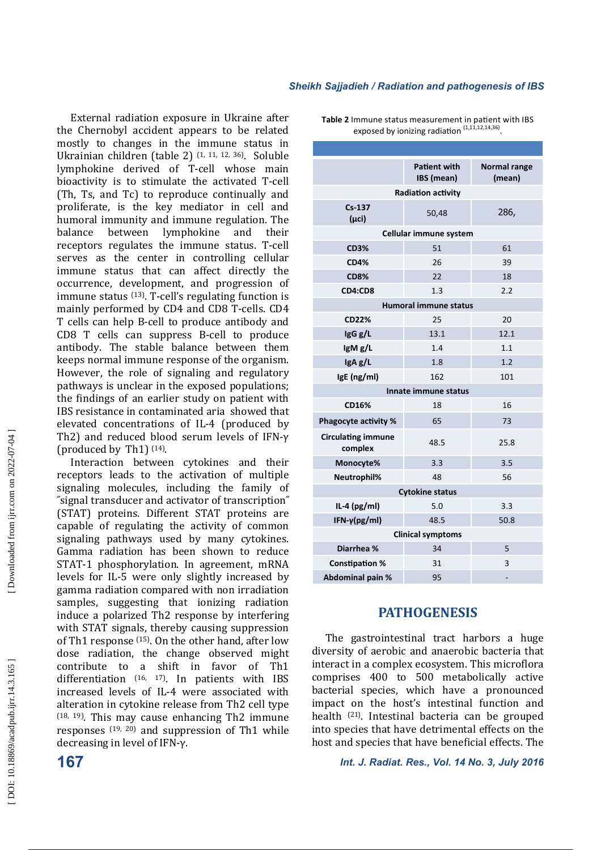External radiation exposure in Ukraine after the Chernobyl accident appears to be related mostly to changes in the immune status in Ukrainian children (table 2) <sup>(1, 11, 12, 36)</sup>. Soluble lymphokine derived of T-cell whose main bioactivity is to stimulate the activated T-cell (Th, Ts, and Tc) to reproduce continually and proliferate, is the key mediator in cell and humoral immunity and immune regulation. The balance between lymphokine and their receptors regulates the immune status. T-cell serves as the center in controlling cellular immune status that can affect directly the occurrence, development, and progression of immune status  $(13)$ . T-cell's regulating function is mainly performed by CD4 and CD8 T-cells. CD4 T cells can help B-cell to produce antibody and CD8 T cells can suppress B-cell to produce antibody. The stable balance between them keeps normal immune response of the organism. However, the role of signaling and regulatory pathways is unclear in the exposed populations; the findings of an earlier study on patient with IBS resistance in contaminated aria showed that elevated concentrations of IL-4 (produced by Th2) and reduced blood serum levels of IFN-γ (produced by Th1)  $(14)$ .

Interaction between cytokines and their receptors leads to the activation of multiple signaling molecules, including the family of ˝signal transducer and activator of transcription˝ (STAT) proteins. Different STAT proteins are capable of regulating the activity of common signaling pathways used by many cytokines. Gamma radiation has been shown to reduce STAT-1 phosphorylation. In agreement, mRNA levels for IL-5 were only slightly increased by gamma radiation compared with non irradiation samples, suggesting that ionizing radiation induce a polarized Th2 response by interfering with STAT signals, thereby causing suppression of Th1 response  $(15)$ . On the other hand, after low dose radiation, the change observed might contribute to a shift in favor of Th1 differentiation  $(16, 17)$ . In patients with IBS increased levels of IL-4 were associated with alteration in cytokine release from Th2 cell type  $(18, 19)$ . This may cause enhancing Th2 immune responses  $(19, 20)$  and suppression of Th1 while decreasing in level of IFN-γ.

Table 2 Immune status measurement in patient with IBS exposed by ionizing radiation  $(1,11,12,14,36)$ .

|                                      | <b>Patient with</b><br>IBS (mean) | Normal range<br>(mean) |  |  |  |
|--------------------------------------|-----------------------------------|------------------------|--|--|--|
| <b>Radiation activity</b>            |                                   |                        |  |  |  |
| $Cs-137$<br>$(\mu$ ci)               | 50,48                             | 286,                   |  |  |  |
| Cellular immune system               |                                   |                        |  |  |  |
| <b>CD3%</b>                          | 51                                | 61                     |  |  |  |
| <b>CD4%</b>                          | 26                                | 39                     |  |  |  |
| <b>CD8%</b>                          | 22                                | 18                     |  |  |  |
| CD4:CD8                              | 1.3                               | 2.2                    |  |  |  |
| <b>Humoral immune status</b>         |                                   |                        |  |  |  |
| <b>CD22%</b>                         | 25                                | 20                     |  |  |  |
| IgG g/L                              | 13.1                              | 12.1                   |  |  |  |
| IgM g/L                              | 1.4                               | 1.1                    |  |  |  |
| IgA g/L                              | 1.8                               | 1.2                    |  |  |  |
| IgE (ng/ml)                          | 162                               | 101                    |  |  |  |
| Innate immune status                 |                                   |                        |  |  |  |
| CD16%                                | 18                                | 16                     |  |  |  |
| <b>Phagocyte activity %</b>          | 65                                | 73                     |  |  |  |
| <b>Circulating immune</b><br>complex | 48.5                              | 25.8                   |  |  |  |
| Monocyte%                            | 3.3                               | 3.5                    |  |  |  |
| Neutrophil%                          | 48                                | 56                     |  |  |  |
| <b>Cytokine status</b>               |                                   |                        |  |  |  |
| IL-4 $(pg/ml)$                       | 5.0                               | 3.3                    |  |  |  |
| $IFN-\gamma(pg/ml)$                  | 48.5                              | 50.8                   |  |  |  |
| <b>Clinical symptoms</b>             |                                   |                        |  |  |  |
| Diarrhea %                           | 34                                | 5                      |  |  |  |
| <b>Constipation %</b>                | 31                                | 3                      |  |  |  |
| Abdominal pain %                     | 95                                |                        |  |  |  |

## **PATHOGENESIS**

The gastrointestinal tract harbors a huge diversity of aerobic and anaerobic bacteria that interact in a complex ecosystem. This microflora comprises 400 to 500 metabolically active bacterial species, which have a pronounced impact on the host's intestinal function and health  $(21)$ . Intestinal bacteria can be grouped into species that have detrimental effects on the host and species that have beneficial effects. The

**167** *Int. J. Radiat. Res., Vol. 14 No. 3, July 2016*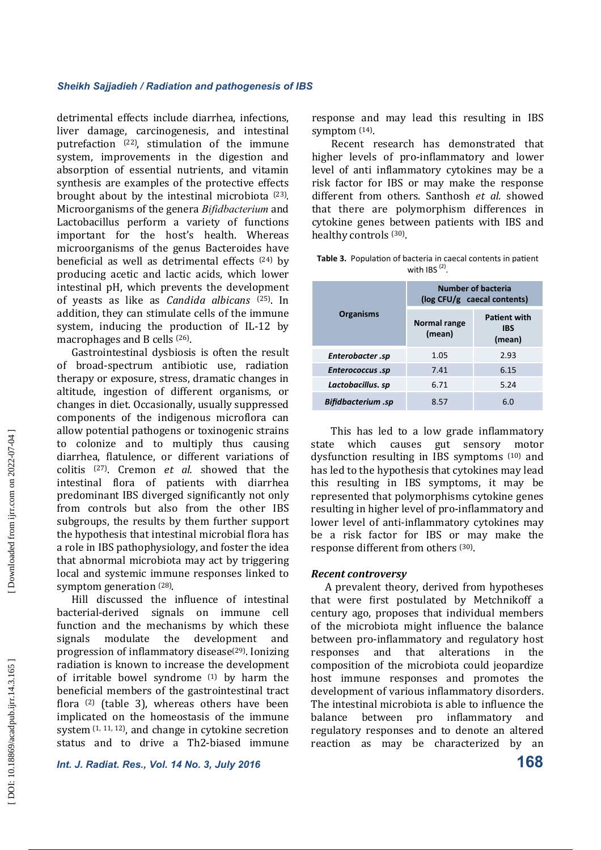detrimental effects include diarrhea, infections, liver damage, carcinogenesis, and intestinal putrefaction  $(22)$ , stimulation of the immune system, improvements in the digestion and absorption of essential nutrients, and vitamin synthesis are examples of the protective effects brought about by the intestinal microbiota <sup>(23)</sup>. Microorganisms of the genera *Bifidbacterium* and Lactobacillus perform a variety of functions important for the host's health. Whereas microorganisms of the genus Bacteroides have beneficial as well as detrimental effects  $(24)$  by producing acetic and lactic acids, which lower intestinal pH, which prevents the development of yeasts as like as *Candida albicans* (25). In addition, they can stimulate cells of the immune system, inducing the production of IL-12 by macrophages and B cells <sup>(26)</sup>.

Gastrointestinal dysbiosis is often the result of broad-spectrum antibiotic use, radiation therapy or exposure, stress, dramatic changes in altitude, ingestion of different organisms, or changes in diet. Occasionally, usually suppressed components of the indigenous microflora can allow potential pathogens or toxinogenic strains to colonize and to multiply thus causing diarrhea, flatulence, or different variations of colitis<sup>(27)</sup>. Cremon *et al.* showed that the intestinal flora of patients with diarrhea predominant IBS diverged significantly not only from controls but also from the other IBS subgroups, the results by them further support the hypothesis that intestinal microbial flora has a role in IBS pathophysiology, and foster the idea that abnormal microbiota may act by triggering local and systemic immune responses linked to symptom generation <sup>(28)</sup>.

Hill discussed the influence of intestinal bacterial-derived signals on immune cell function and the mechanisms by which these signals modulate the development and progression of inflammatory disease $(29)$ . Ionizing radiation is known to increase the development of irritable bowel syndrome  $(1)$  by harm the beneficial members of the gastrointestinal tract flora  $(2)$  (table 3), whereas others have been implicated on the homeostasis of the immune system  $(1, 11, 12)$ , and change in cytokine secretion status and to drive a Th2-biased immune response and may lead this resulting in IBS symptom <sup>(14)</sup>.

Recent research has demonstrated that higher levels of pro-inflammatory and lower level of anti inflammatory cytokines may be a risk factor for IBS or may make the response different from others. Santhosh et al. showed that there are polymorphism differences in cytokine genes between patients with IBS and healthy controls <sup>(30)</sup>.

|                  | <b>Table 3.</b> Population of bacteria in caecal contents in patient |  |  |  |
|------------------|----------------------------------------------------------------------|--|--|--|
| with IBS $(2)$ . |                                                                      |  |  |  |

|                    | <b>Number of bacteria</b><br>$(\log CFU/g \text{ caecal contents})$ |                                             |  |
|--------------------|---------------------------------------------------------------------|---------------------------------------------|--|
| <b>Organisms</b>   | Normal range<br>(mean)                                              | <b>Patient with</b><br><b>IBS</b><br>(mean) |  |
| Enterobacter .sp   | 1.05                                                                | 2.93                                        |  |
| Enterococcus.sp    | 7.41                                                                | 6.15                                        |  |
| Lactobacillus. sp  | 6.71                                                                | 5.24                                        |  |
| Bifidbacterium .sp | 8.57                                                                | 6.0                                         |  |

This has led to a low grade inflammatory state which causes gut sensory motor dysfunction resulting in IBS symptoms (10) and has led to the hypothesis that cytokines may lead this resulting in IBS symptoms, it may be represented that polymorphisms cytokine genes resulting in higher level of pro-inflammatory and lower level of anti-inflammatory cytokines may be a risk factor for IBS or may make the response different from others (30).

#### *Recent controversy*

A prevalent theory, derived from hypotheses that were first postulated by Metchnikoff a century ago, proposes that individual members of the microbiota might influence the balance between pro-inflammatory and regulatory host responses and that alterations in the composition of the microbiota could jeopardize host immune responses and promotes the development of various inflammatory disorders. The intestinal microbiota is able to influence the balance between pro inflammatory and regulatory responses and to denote an altered reaction as may be characterized by an

*Int. J. Radiat. Res., Vol. 14 No. 3, July 2016* **168**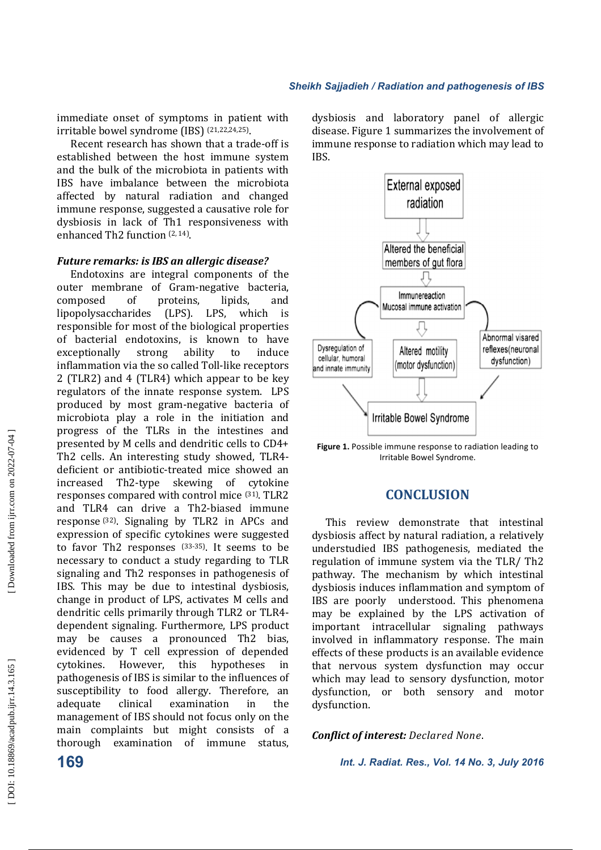immediate onset of symptoms in patient with irritable bowel syndrome (IBS) <sup>(21,22,24,25)</sup>.

Recent research has shown that a trade-off is established between the host immune system and the bulk of the microbiota in patients with IBS have imbalance between the microbiota affected by natural radiation and changed immune response, suggested a causative role for dysbiosis in lack of Th1 responsiveness with enhanced Th2 function  $(2, 14)$ .

#### *Future remarks: is IBS an allergic disease?*

Endotoxins are integral components of the outer membrane of Gram-negative bacteria, composed of proteins, lipids, and lipopolysaccharides (LPS). LPS, which is responsible for most of the biological properties of bacterial endotoxins, is known to have exceptionally strong ability to induce inflammation via the so called Toll-like receptors  $2$  (TLR2) and  $4$  (TLR4) which appear to be key regulators of the innate response system. LPS produced by most gram-negative bacteria of microbiota play a role in the initiation and progress of the TLRs in the intestines and presented by M cells and dendritic cells to CD4+ Th2 cells. An interesting study showed, TLR4deficient or antibiotic-treated mice showed an increased Th2-type skewing of cytokine responses compared with control mice <sup>(31)</sup>. TLR2 and TLR4 can drive a Th2-biased immune response  $(32)$ . Signaling by TLR2 in APCs and expression of specific cytokines were suggested to favor Th2 responses  $(33-35)$ . It seems to be necessary to conduct a study regarding to TLR signaling and Th2 responses in pathogenesis of IBS. This may be due to intestinal dysbiosis, change in product of LPS, activates M cells and dendritic cells primarily through TLR2 or TLR4dependent signaling. Furthermore, LPS product may be causes a pronounced Th2 bias, evidenced by T cell expression of depended cytokines. However, this hypotheses in pathogenesis of IBS is similar to the influences of susceptibility to food allergy. Therefore, an adequate clinical examination in the management of IBS should not focus only on the main complaints but might consists of a thorough examination of immune status, 

dysbiosis and laboratory panel of allergic disease. Figure 1 summarizes the involvement of immune response to radiation which may lead to IBS. 



Figure 1. Possible immune response to radiation leading to Irritable Bowel Syndrome.

# **CONCLUSION**

This review demonstrate that intestinal dysbiosis affect by natural radiation, a relatively understudied IBS pathogenesis, mediated the regulation of immune system via the TLR/ Th2 pathway. The mechanism by which intestinal dysbiosis induces inflammation and symptom of IBS are poorly understood. This phenomena may be explained by the LPS activation of important intracellular signaling pathways involved in inflammatory response. The main effects of these products is an available evidence that nervous system dysfunction may occur which may lead to sensory dysfunction, motor dysfunction, or both sensory and motor dysfunction. 

#### *Conflict of interest: Declared None.*

**169** *Int. J. Radiat. Res., Vol. 14 No. 3, July 2016*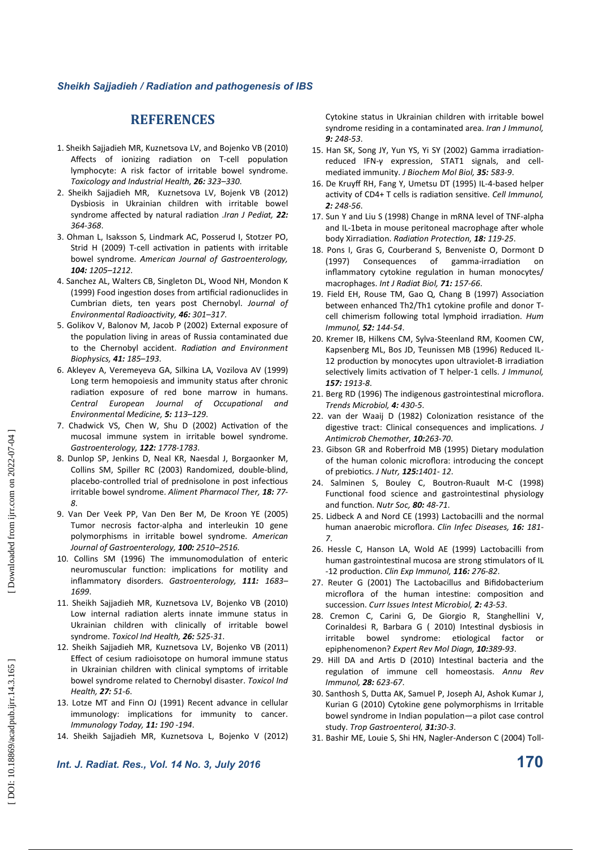# **REFERENCES**

- 1. Sheikh Sajjadieh MR, Kuznetsova LV, and Bojenko VB (2010) Affects of ionizing radiation on T-cell population lymphocyte: A risk factor of irritable bowel syndrome. *Toxicology and Industrial Health, 26: 323–330*.
- 2. Sheikh Sajjadieh MR, Kuznetsova LV, Bojenk VB (2012) Dysbiosis in Ukrainian children with irritable bowel syndrome affected by natural radiation .*Iran J Pediat*, 22: *364-368*.
- 3. Ohman L, Isaksson S, Lindmark AC, Posserud I, Stotzer PO, Strid H (2009) T-cell activation in patients with irritable bowel syndrome. *American Journal of Gastroenterology, 104: 1205–1212*.
- 4. Sanchez AL, Walters CB, Singleton DL, Wood NH, Mondon K (1999) Food ingestion doses from artificial radionuclides in Cumbrian diets, ten years post Chernobyl. *Journal of Environmental Radioactivity, 46: 301-317.*
- 5. Golikov V, Balonov M, Jacob P (2002) External exposure of the population living in areas of Russia contaminated due to the Chernobyl accident. *Radiation and Environment Biophysics, 41: 185–193*.
- 6. Akleyev A, Veremeyeva GA, Silkina LA, Vozilova AV (1999) Long term hemopoiesis and immunity status after chronic radiation exposure of red bone marrow in humans. **Central European Journal of Occupational and** *Environmental Medicine, 5: 113–129*.
- 7. Chadwick VS, Chen W, Shu D (2002) Activation of the mucosal immune system in irritable bowel syndrome. *Gastroenterology, 122: 1778-1783*.
- 8. Dunlop SP, Jenkins D, Neal KR, Naesdal J, Borgaonker M, Collins SM, Spiller RC (2003) Randomized, double-blind, placebo-controlled trial of prednisolone in post infectious irritable bowel syndrome. *Aliment Pharmacol Ther, 18: 77- 8*.
- 9. Van Der Veek PP, Van Den Ber M, De Kroon YE (2005) Tumor necrosis factor-alpha and interleukin 10 gene polymorphisms in irritable bowel syndrome. *American Journal of Gastroenterology, 100: 2510–2516.*
- 10. Collins SM (1996) The immunomodulation of enteric neuromuscular function: implications for motility and inflammatory disorders. *Gastroenterology, 111: 1683– 1699*.
- 11. Sheikh Sajjadieh MR, Kuznetsova LV, Bojenko VB (2010) Low internal radiation alerts innate immune status in Ukrainian children with clinically of irritable bowel syndrome. *Toxicol Ind Health, 26: 525-31*.
- 12. Sheikh Sajjadieh MR, Kuznetsova LV, Bojenko VB (2011) Effect of cesium radioisotope on humoral immune status in Ukrainian children with clinical symptoms of irritable bowel syndrome related to Chernobyl disaster. *Toxicol Ind Health, 27: 51-6*.
- 13. Lotze MT and Finn OJ (1991) Recent advance in cellular immunology: implications for immunity to cancer. *Immunology Today, 11: 190 -194*.
- 14. Sheikh Sajjadieh MR, Kuznetsova L, Bojenko V (2012)

Cytokine status in Ukrainian children with irritable bowel syndrome residing in a contaminated area. *Iran J Immunol, 9: 248-53*.

- 15. Han SK, Song JY, Yun YS, Yi SY (2002) Gamma irradiationreduced IFN-γ expression, STAT1 signals, and cellmediated immunity. *J Biochem Mol Biol, 35: 583-9*.
- 16. De Kruyff RH, Fang Y, Umetsu DT (1995) IL-4-based helper activity of CD4+ T cells is radiation sensitive. *Cell Immunol*, *2: 248-56*.
- 17. Sun Y and Liu S (1998) Change in mRNA level of TNF-alpha and IL-1beta in mouse peritoneal macrophage after whole body Xirradiation. *Radiation Protection*, **18:** 119-25.
- 18. Pons I, Gras G, Courberand S, Benveniste O, Dormont D (1997) Consequences of gamma-irradiation on inflammatory cytokine regulation in human monocytes/ macrophages. *Int J Radiat Biol, 71: 157-66*.
- 19. Field EH, Rouse TM, Gao Q, Chang B (1997) Association between enhanced Th2/Th1 cytokine profile and donor Tcell chimerism following total lymphoid irradiation. Hum *Immunol, 52: 144-54*.
- 20. Kremer IB, Hilkens CM, Sylva-Steenland RM, Koomen CW, Kapsenberg ML, Bos JD, Teunissen MB (1996) Reduced IL-12 production by monocytes upon ultraviolet-B irradiation selectively limits activation of T helper-1 cells. *J Immunol*. *157: 1913-8*.
- 21. Berg RD (1996) The indigenous gastrointestinal microflora. *Trends Microbiol, 4: 430-5*.
- 22. van der Waaij D (1982) Colonization resistance of the digestive tract: Clinical consequences and implications. *J An)microb Chemother, 10:263-70*.
- 23. Gibson GR and Roberfroid MB (1995) Dietary modulation of the human colonic microflora: introducing the concept of prebiocs. *J Nutr, 125:1401- 12*.
- 24. Salminen S, Bouley C, Boutron-Ruault M-C (1998) Functional food science and gastrointestinal physiology and function. *Nutr Soc*, **80:** 48-71.
- 25. Lidbeck A and Nord CE (1993) Lactobacilli and the normal human anaerobic microflora. *Clin Infec Diseases, 16: 181- 7*.
- 26. Hessle C, Hanson LA, Wold AE (1999) Lactobacilli from human gastrointestinal mucosa are strong stimulators of IL -12 producon. *Clin Exp Immunol, 116: 276-82*.
- 27. Reuter G (2001) The Lactobacillus and Bifidobacterium microflora of the human intestine: composition and succession. *Curr Issues Intest Microbiol, 2: 43-53*.
- 28. Cremon C, Carini G, De Giorgio R, Stanghellini V, Corinaldesi R, Barbara G ( 2010) Intestinal dysbiosis in irritable bowel syndrome: etiological factor or epiphenomenon? *Expert Rev Mol Diagn, 10:389-93*.
- 29. Hill DA and Artis D (2010) Intestinal bacteria and the regulation of immune cell homeostasis. Annu Rev *Immunol, 28: 623-67*.
- 30. Santhosh S, Dutta AK, Samuel P, Joseph AJ, Ashok Kumar J, Kurian G (2010) Cytokine gene polymorphisms in Irritable bowel syndrome in Indian population—a pilot case control study. *Trop Gastroenterol, 31:30-3*.
- 31. Bashir ME, Louie S, Shi HN, Nagler-Anderson C (2004) Toll-